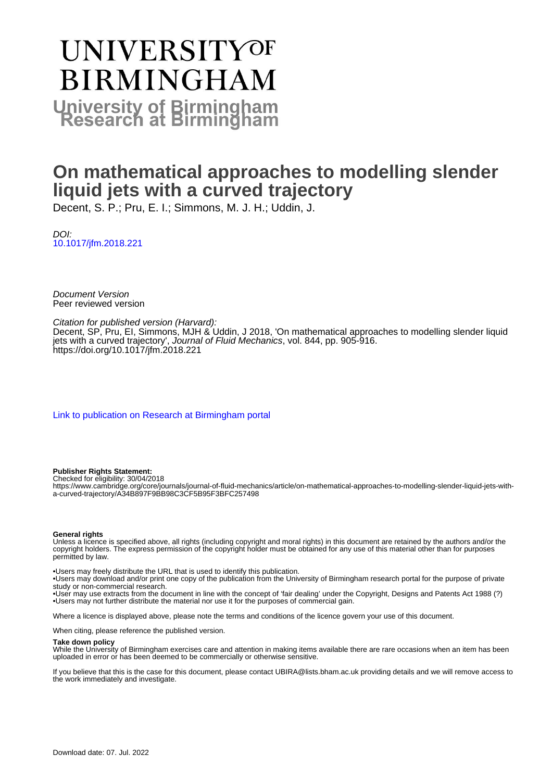# UNIVERSITYOF **BIRMINGHAM University of Birmingham**

# **On mathematical approaches to modelling slender liquid jets with a curved trajectory**

Decent, S. P.; Pru, E. I.; Simmons, M. J. H.; Uddin, J.

DOI: [10.1017/jfm.2018.221](https://doi.org/10.1017/jfm.2018.221)

Document Version Peer reviewed version

# Citation for published version (Harvard):

Decent, SP, Pru, EI, Simmons, MJH & Uddin, J 2018, 'On mathematical approaches to modelling slender liquid jets with a curved trajectory', Journal of Fluid Mechanics, vol. 844, pp. 905-916. <https://doi.org/10.1017/jfm.2018.221>

[Link to publication on Research at Birmingham portal](https://birmingham.elsevierpure.com/en/publications/40d8adfc-c16c-4402-9a23-ff3901f4421a)

# **Publisher Rights Statement:**

Checked for eligibility: 30/04/2018

https://www.cambridge.org/core/journals/journal-of-fluid-mechanics/article/on-mathematical-approaches-to-modelling-slender-liquid-jets-witha-curved-trajectory/A34B897F9BB98C3CF5B95F3BFC257498

## **General rights**

Unless a licence is specified above, all rights (including copyright and moral rights) in this document are retained by the authors and/or the copyright holders. The express permission of the copyright holder must be obtained for any use of this material other than for purposes permitted by law.

• Users may freely distribute the URL that is used to identify this publication.

• Users may download and/or print one copy of the publication from the University of Birmingham research portal for the purpose of private study or non-commercial research.

• User may use extracts from the document in line with the concept of 'fair dealing' under the Copyright, Designs and Patents Act 1988 (?) • Users may not further distribute the material nor use it for the purposes of commercial gain.

Where a licence is displayed above, please note the terms and conditions of the licence govern your use of this document.

When citing, please reference the published version.

# **Take down policy**

While the University of Birmingham exercises care and attention in making items available there are rare occasions when an item has been uploaded in error or has been deemed to be commercially or otherwise sensitive.

If you believe that this is the case for this document, please contact UBIRA@lists.bham.ac.uk providing details and we will remove access to the work immediately and investigate.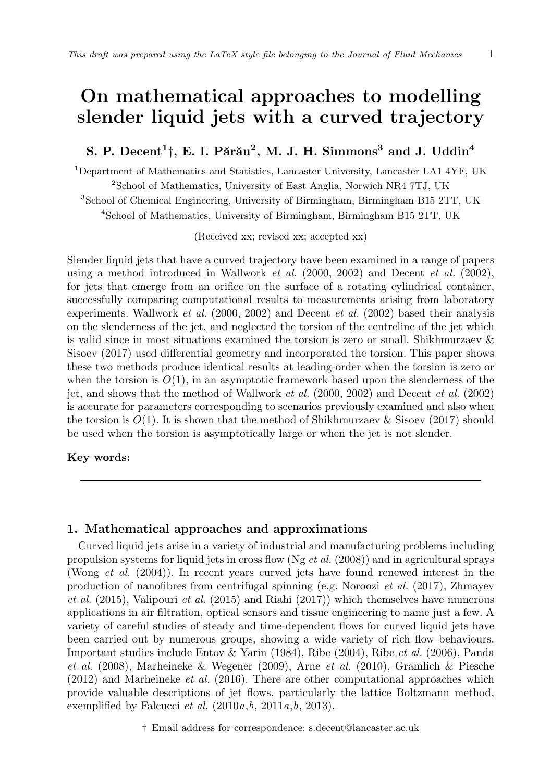# **On mathematical approaches to modelling slender liquid jets with a curved trajectory**

# $\mathbf{S}$ . P. Decent<sup>1</sup><sup> $\dagger$ </sup>, E. I. Părău<sup>2</sup>, M. J. H. Simmons<sup>3</sup> and J. Uddin<sup>4</sup>

Department of Mathematics and Statistics, Lancaster University, Lancaster LA1 4YF, UK <sup>2</sup>School of Mathematics, University of East Anglia, Norwich NR4 7TJ, UK School of Chemical Engineering, University of Birmingham, Birmingham B15 2TT, UK School of Mathematics, University of Birmingham, Birmingham B15 2TT, UK

(Received xx; revised xx; accepted xx)

Slender liquid jets that have a curved trajectory have been examined in a range of papers using a method introduced in Wallwork *et al.* (2000, 2002) and Decent *et al.* (2002), for jets that emerge from an orifice on the surface of a rotating cylindrical container, successfully comparing computational results to measurements arising from laboratory experiments. Wallwork *et al.* (2000, 2002) and Decent *et al.* (2002) based their analysis on the slenderness of the jet, and neglected the torsion of the centreline of the jet which is valid since in most situations examined the torsion is zero or small. Shikhmurzaev & Sisoev (2017) used differential geometry and incorporated the torsion. This paper shows these two methods produce identical results at leading-order when the torsion is zero or when the torsion is  $O(1)$ , in an asymptotic framework based upon the slenderness of the jet, and shows that the method of Wallwork *et al.* (2000, 2002) and Decent *et al.* (2002) is accurate for parameters corresponding to scenarios previously examined and also when the torsion is  $O(1)$ . It is shown that the method of Shikhmurzaev & Sisoev (2017) should be used when the torsion is asymptotically large or when the jet is not slender.

# **Key words:**

# **1. Mathematical approaches and approximations**

Curved liquid jets arise in a variety of industrial and manufacturing problems including propulsion systems for liquid jets in cross flow (Ng *et al.* (2008)) and in agricultural sprays (Wong *et al.* (2004)). In recent years curved jets have found renewed interest in the production of nanofibres from centrifugal spinning (e.g. Noroozi *et al.* (2017), Zhmayev *et al.* (2015), Valipouri *et al.* (2015) and Riahi (2017)) which themselves have numerous applications in air filtration, optical sensors and tissue engineering to name just a few. A variety of careful studies of steady and time-dependent flows for curved liquid jets have been carried out by numerous groups, showing a wide variety of rich flow behaviours. Important studies include Entov & Yarin (1984), Ribe (2004), Ribe *et al.* (2006), Panda *et al.* (2008), Marheineke & Wegener (2009), Arne *et al.* (2010), Gramlich & Piesche (2012) and Marheineke *et al.* (2016). There are other computational approaches which provide valuable descriptions of jet flows, particularly the lattice Boltzmann method, exemplified by Falcucci *et al.* (2010*a*,*b*, 2011*a*,*b*, 2013).

*†* Email address for correspondence: s.decent@lancaster.ac.uk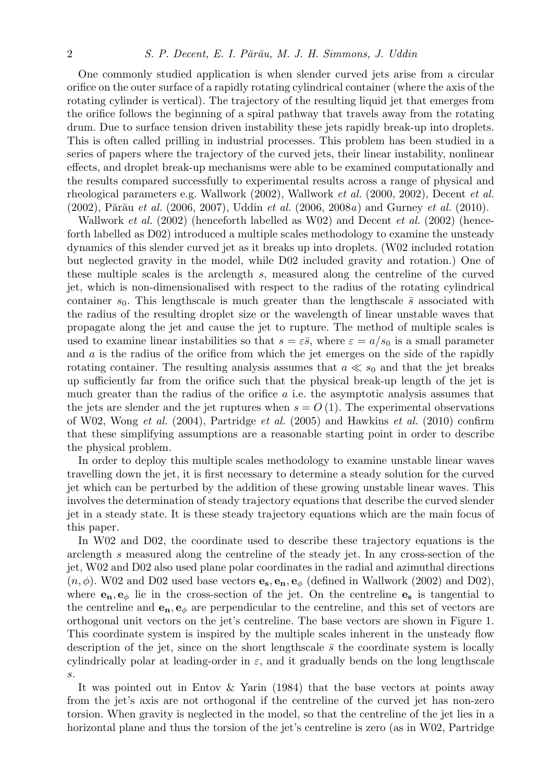One commonly studied application is when slender curved jets arise from a circular orifice on the outer surface of a rapidly rotating cylindrical container (where the axis of the rotating cylinder is vertical). The trajectory of the resulting liquid jet that emerges from the orifice follows the beginning of a spiral pathway that travels away from the rotating drum. Due to surface tension driven instability these jets rapidly break-up into droplets. This is often called prilling in industrial processes. This problem has been studied in a series of papers where the trajectory of the curved jets, their linear instability, nonlinear effects, and droplet break-up mechanisms were able to be examined computationally and the results compared successfully to experimental results across a range of physical and rheological parameters e.g. Wallwork (2002), Wallwork *et al.* (2000, 2002), Decent *et al.* (2002), Părău *et al.* (2006, 2007), Uddin *et al.* (2006, 2008*a*) and Gurney *et al.* (2010).

Wallwork *et al.* (2002) (henceforth labelled as W02) and Decent *et al.* (2002) (henceforth labelled as D02) introduced a multiple scales methodology to examine the unsteady dynamics of this slender curved jet as it breaks up into droplets. (W02 included rotation but neglected gravity in the model, while D02 included gravity and rotation.) One of these multiple scales is the arclength *s*, measured along the centreline of the curved jet, which is non-dimensionalised with respect to the radius of the rotating cylindrical container  $s_0$ . This lengthscale is much greater than the lengthscale  $\bar{s}$  associated with the radius of the resulting droplet size or the wavelength of linear unstable waves that propagate along the jet and cause the jet to rupture. The method of multiple scales is used to examine linear instabilities so that  $s = \varepsilon \bar{s}$ , where  $\varepsilon = a/s_0$  is a small parameter and *a* is the radius of the orifice from which the jet emerges on the side of the rapidly rotating container. The resulting analysis assumes that  $a \ll s_0$  and that the jet breaks up sufficiently far from the orifice such that the physical break-up length of the jet is much greater than the radius of the orifice *a* i.e. the asymptotic analysis assumes that the jets are slender and the jet ruptures when  $s = O(1)$ . The experimental observations of W02, Wong *et al.* (2004), Partridge *et al.* (2005) and Hawkins *et al.* (2010) confirm that these simplifying assumptions are a reasonable starting point in order to describe the physical problem.

In order to deploy this multiple scales methodology to examine unstable linear waves travelling down the jet, it is first necessary to determine a steady solution for the curved jet which can be perturbed by the addition of these growing unstable linear waves. This involves the determination of steady trajectory equations that describe the curved slender jet in a steady state. It is these steady trajectory equations which are the main focus of this paper.

In W02 and D02, the coordinate used to describe these trajectory equations is the arclength *s* measured along the centreline of the steady jet. In any cross-section of the jet, W02 and D02 also used plane polar coordinates in the radial and azimuthal directions  $(n, \phi)$ . W02 and D02 used base vectors  $\mathbf{e}_s, \mathbf{e}_n, \mathbf{e}_\phi$  (defined in Wallwork (2002) and D02), where  $\mathbf{e}_n, \mathbf{e}_\phi$  lie in the cross-section of the jet. On the centreline  $\mathbf{e}_s$  is tangential to the centreline and  $\mathbf{e}_n, \mathbf{e}_\phi$  are perpendicular to the centreline, and this set of vectors are orthogonal unit vectors on the jet's centreline. The base vectors are shown in Figure 1. This coordinate system is inspired by the multiple scales inherent in the unsteady flow description of the jet, since on the short lengthscale  $\bar{s}$  the coordinate system is locally cylindrically polar at leading-order in  $\varepsilon$ , and it gradually bends on the long lengthscale *s*.

It was pointed out in Entov & Yarin (1984) that the base vectors at points away from the jet's axis are not orthogonal if the centreline of the curved jet has non-zero torsion. When gravity is neglected in the model, so that the centreline of the jet lies in a horizontal plane and thus the torsion of the jet's centreline is zero (as in W02, Partridge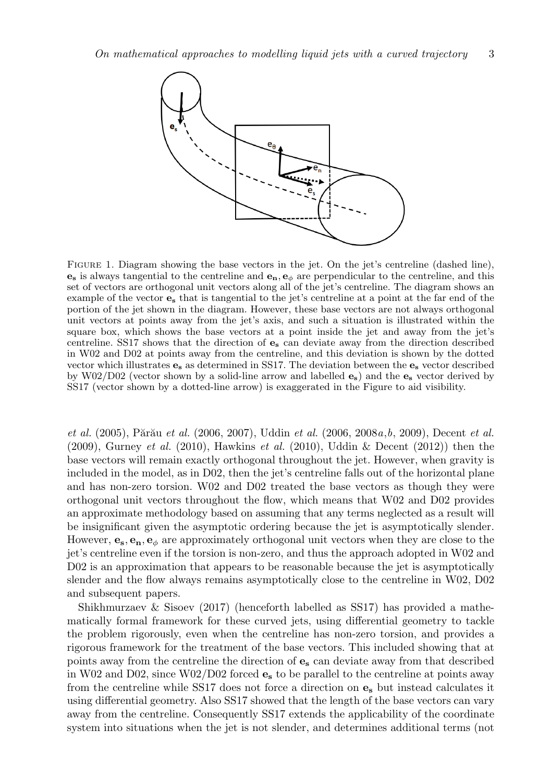

FIGURE 1. Diagram showing the base vectors in the jet. On the jet's centreline (dashed line), **e<sup>s</sup>** is always tangential to the centreline and **en***,* **e***<sup>ϕ</sup>* are perpendicular to the centreline, and this set of vectors are orthogonal unit vectors along all of the jet's centreline. The diagram shows an example of the vector **e<sup>s</sup>** that is tangential to the jet's centreline at a point at the far end of the portion of the jet shown in the diagram. However, these base vectors are not always orthogonal unit vectors at points away from the jet's axis, and such a situation is illustrated within the square box, which shows the base vectors at a point inside the jet and away from the jet's centreline. SS17 shows that the direction of **e<sup>s</sup>** can deviate away from the direction described in W02 and D02 at points away from the centreline, and this deviation is shown by the dotted vector which illustrates **e<sup>s</sup>** as determined in SS17. The deviation between the **e<sup>s</sup>** vector described by W02/D02 (vector shown by a solid-line arrow and labelled **es**) and the **e<sup>s</sup>** vector derived by SS17 (vector shown by a dotted-line arrow) is exaggerated in the Figure to aid visibility.

*et al.* (2005), Părău *et al.* (2006, 2007), Uddin *et al.* (2006, 2008*a*,*b*, 2009), Decent *et al.* (2009), Gurney *et al.* (2010), Hawkins *et al.* (2010), Uddin & Decent (2012)) then the base vectors will remain exactly orthogonal throughout the jet. However, when gravity is included in the model, as in D02, then the jet's centreline falls out of the horizontal plane and has non-zero torsion. W02 and D02 treated the base vectors as though they were orthogonal unit vectors throughout the flow, which means that W02 and D02 provides an approximate methodology based on assuming that any terms neglected as a result will be insignificant given the asymptotic ordering because the jet is asymptotically slender. However,  $\mathbf{e}_s$ ,  $\mathbf{e}_n$ ,  $\mathbf{e}_{\phi}$  are approximately orthogonal unit vectors when they are close to the jet's centreline even if the torsion is non-zero, and thus the approach adopted in W02 and D02 is an approximation that appears to be reasonable because the jet is asymptotically slender and the flow always remains asymptotically close to the centreline in W02, D02 and subsequent papers.

Shikhmurzaev & Sisoev (2017) (henceforth labelled as SS17) has provided a mathematically formal framework for these curved jets, using differential geometry to tackle the problem rigorously, even when the centreline has non-zero torsion, and provides a rigorous framework for the treatment of the base vectors. This included showing that at points away from the centreline the direction of **e<sup>s</sup>** can deviate away from that described in W02 and D02, since W02/D02 forced **e<sup>s</sup>** to be parallel to the centreline at points away from the centreline while SS17 does not force a direction on **e<sup>s</sup>** but instead calculates it using differential geometry. Also SS17 showed that the length of the base vectors can vary away from the centreline. Consequently SS17 extends the applicability of the coordinate system into situations when the jet is not slender, and determines additional terms (not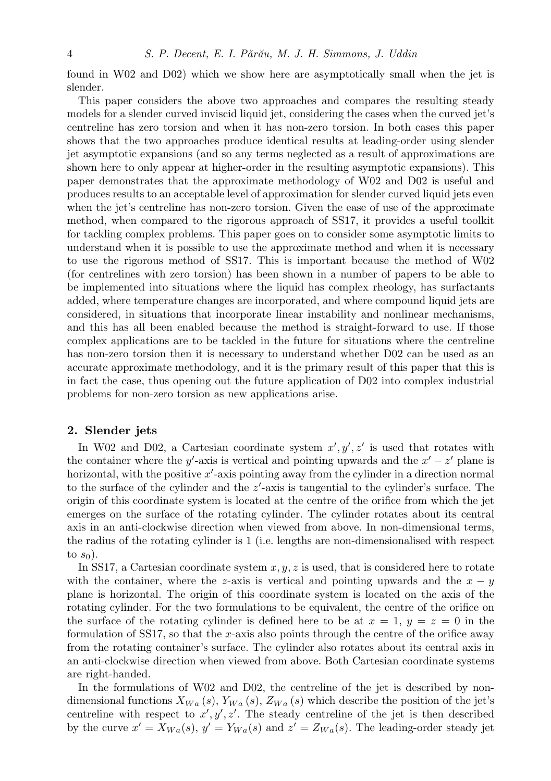found in W02 and D02) which we show here are asymptotically small when the jet is slender.

This paper considers the above two approaches and compares the resulting steady models for a slender curved inviscid liquid jet, considering the cases when the curved jet's centreline has zero torsion and when it has non-zero torsion. In both cases this paper shows that the two approaches produce identical results at leading-order using slender jet asymptotic expansions (and so any terms neglected as a result of approximations are shown here to only appear at higher-order in the resulting asymptotic expansions). This paper demonstrates that the approximate methodology of W02 and D02 is useful and produces results to an acceptable level of approximation for slender curved liquid jets even when the jet's centreline has non-zero torsion. Given the ease of use of the approximate method, when compared to the rigorous approach of SS17, it provides a useful toolkit for tackling complex problems. This paper goes on to consider some asymptotic limits to understand when it is possible to use the approximate method and when it is necessary to use the rigorous method of SS17. This is important because the method of W02 (for centrelines with zero torsion) has been shown in a number of papers to be able to be implemented into situations where the liquid has complex rheology, has surfactants added, where temperature changes are incorporated, and where compound liquid jets are considered, in situations that incorporate linear instability and nonlinear mechanisms, and this has all been enabled because the method is straight-forward to use. If those complex applications are to be tackled in the future for situations where the centreline has non-zero torsion then it is necessary to understand whether D02 can be used as an accurate approximate methodology, and it is the primary result of this paper that this is in fact the case, thus opening out the future application of D02 into complex industrial problems for non-zero torsion as new applications arise.

# **2. Slender jets**

In W02 and D02, a Cartesian coordinate system  $x', y', z'$  is used that rotates with the container where the *y*'-axis is vertical and pointing upwards and the  $x' - z'$  plane is horizontal, with the positive *x ′* -axis pointing away from the cylinder in a direction normal to the surface of the cylinder and the *z ′* -axis is tangential to the cylinder's surface. The origin of this coordinate system is located at the centre of the orifice from which the jet emerges on the surface of the rotating cylinder. The cylinder rotates about its central axis in an anti-clockwise direction when viewed from above. In non-dimensional terms, the radius of the rotating cylinder is 1 (i.e. lengths are non-dimensionalised with respect to  $s_0$ ).

In SS17, a Cartesian coordinate system *x, y, z* is used, that is considered here to rotate with the container, where the *z*-axis is vertical and pointing upwards and the  $x - y$ plane is horizontal. The origin of this coordinate system is located on the axis of the rotating cylinder. For the two formulations to be equivalent, the centre of the orifice on the surface of the rotating cylinder is defined here to be at  $x = 1$ ,  $y = z = 0$  in the formulation of SS17, so that the *x*-axis also points through the centre of the orifice away from the rotating container's surface. The cylinder also rotates about its central axis in an anti-clockwise direction when viewed from above. Both Cartesian coordinate systems are right-handed.

In the formulations of W02 and D02, the centreline of the jet is described by nondimensional functions  $X_{Wa}(s)$ ,  $Y_{Wa}(s)$ ,  $Z_{Wa}(s)$  which describe the position of the jet's centreline with respect to  $x', y', z'$ . The steady centreline of the jet is then described by the curve  $x' = X_{Wa}(s)$ ,  $y' = Y_{Wa}(s)$  and  $z' = Z_{Wa}(s)$ . The leading-order steady jet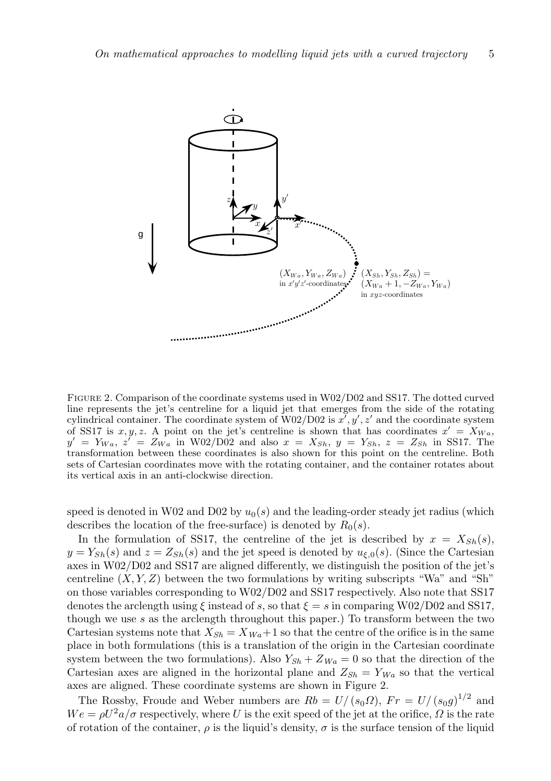

Figure 2. Comparison of the coordinate systems used in W02/D02 and SS17. The dotted curved line represents the jet's centreline for a liquid jet that emerges from the side of the rotating cylindrical container. The coordinate system of W02/D02 is *x ′ , y′ , z′* and the coordinate system of SS17 is  $x, y, z$ . A point on the jet's centreline is shown that has coordinates  $x' = X_{Wa}$ ,  $y' = Y_{Wa}, z' = Z_{Wa}$  in W02/D02 and also  $x = X_{Sh}, y = Y_{Sh}, z = Z_{Sh}$  in SS17. The transformation between these coordinates is also shown for this point on the centreline. Both sets of Cartesian coordinates move with the rotating container, and the container rotates about its vertical axis in an anti-clockwise direction.

speed is denoted in W02 and D02 by  $u_0(s)$  and the leading-order steady jet radius (which describes the location of the free-surface) is denoted by  $R_0(s)$ .

In the formulation of SS17, the centreline of the jet is described by  $x = X_{Sh}(s)$ ,  $y = Y_{Sh}(s)$  and  $z = Z_{Sh}(s)$  and the jet speed is denoted by  $u_{f,0}(s)$ . (Since the Cartesian axes in W02/D02 and SS17 are aligned differently, we distinguish the position of the jet's centreline  $(X, Y, Z)$  between the two formulations by writing subscripts "Wa" and "Sh" on those variables corresponding to W02/D02 and SS17 respectively. Also note that SS17 denotes the arclength using  $\xi$  instead of *s*, so that  $\xi = s$  in comparing W02/D02 and SS17, though we use *s* as the arclength throughout this paper.) To transform between the two Cartesian systems note that  $X_{Sh} = X_{Wa} + 1$  so that the centre of the orifice is in the same place in both formulations (this is a translation of the origin in the Cartesian coordinate system between the two formulations). Also  $Y_{Sh} + Z_{Wa} = 0$  so that the direction of the Cartesian axes are aligned in the horizontal plane and  $Z_{Sh} = Y_{Wa}$  so that the vertical axes are aligned. These coordinate systems are shown in Figure 2.

The Rossby, Froude and Weber numbers are  $Rb = U/(s_0\Omega)$ ,  $Fr = U/(s_0g)^{1/2}$  and  $We = \rho U^2 a / \sigma$  respectively, where *U* is the exit speed of the jet at the orifice,  $\Omega$  is the rate of rotation of the container,  $\rho$  is the liquid's density,  $\sigma$  is the surface tension of the liquid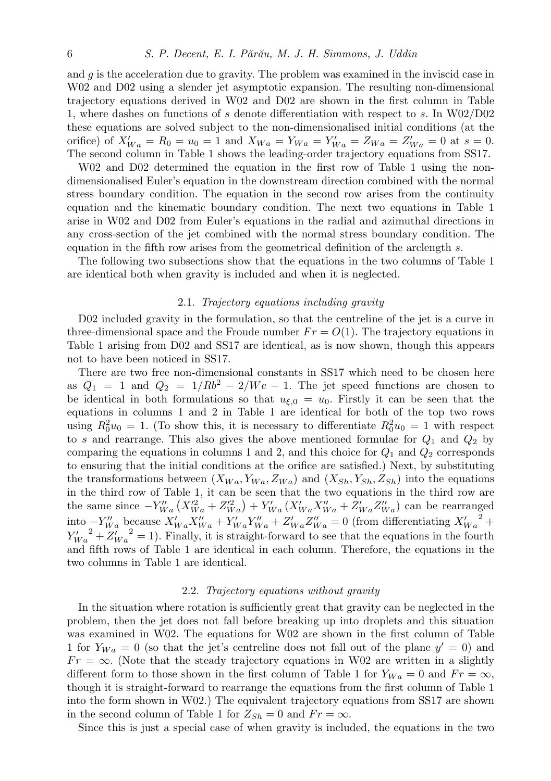and *g* is the acceleration due to gravity. The problem was examined in the inviscid case in W02 and D02 using a slender jet asymptotic expansion. The resulting non-dimensional trajectory equations derived in W02 and D02 are shown in the first column in Table 1, where dashes on functions of *s* denote differentiation with respect to *s*. In W02/D02 these equations are solved subject to the non-dimensionalised initial conditions (at the orifice) of  $X'_{Wa} = R_0 = u_0 = 1$  and  $X_{Wa} = Y_{Wa} = Y'_{Wa} = Z_{Wa} = Z'_{Wa} = 0$  at  $s = 0$ . The second column in Table 1 shows the leading-order trajectory equations from SS17.

W02 and D02 determined the equation in the first row of Table 1 using the nondimensionalised Euler's equation in the downstream direction combined with the normal stress boundary condition. The equation in the second row arises from the continuity equation and the kinematic boundary condition. The next two equations in Table 1 arise in W02 and D02 from Euler's equations in the radial and azimuthal directions in any cross-section of the jet combined with the normal stress boundary condition. The equation in the fifth row arises from the geometrical definition of the arclength *s*.

The following two subsections show that the equations in the two columns of Table 1 are identical both when gravity is included and when it is neglected.

## 2.1. *Trajectory equations including gravity*

D02 included gravity in the formulation, so that the centreline of the jet is a curve in three-dimensional space and the Froude number  $Fr = O(1)$ . The trajectory equations in Table 1 arising from D02 and SS17 are identical, as is now shown, though this appears not to have been noticed in SS17.

There are two free non-dimensional constants in SS17 which need to be chosen here as  $Q_1 = 1$  and  $Q_2 = 1/Rb^2 - 2/We - 1$ . The jet speed functions are chosen to be identical in both formulations so that  $u_{\xi,0} = u_0$ . Firstly it can be seen that the equations in columns 1 and 2 in Table 1 are identical for both of the top two rows using  $R_0^2 u_0 = 1$ . (To show this, it is necessary to differentiate  $R_0^2 u_0 = 1$  with respect to *s* and rearrange. This also gives the above mentioned formulae for  $Q_1$  and  $Q_2$  by comparing the equations in columns 1 and 2, and this choice for  $Q_1$  and  $Q_2$  corresponds to ensuring that the initial conditions at the orifice are satisfied.) Next, by substituting the transformations between  $(X_{Wa}, Y_{Wa}, Z_{Wa})$  and  $(X_{Sh}, Y_{Sh}, Z_{Sh})$  into the equations in the third row of Table 1, it can be seen that the two equations in the third row are the same since  $-Y''_{Wa}(X''_{Wa} + Z''_{Wa}) + Y'_{Wa}(X'_{Wa}X''_{Wa} + Z'_{Wa}Z''_{Wa})$  can be rearranged into  $-V_{Wa}''$  because  $X_{Wa}'X_{Wa}'' + Y_{Wa}'Y_{Wa}'' + Z_{Wa}'Z_{Wa}'' = 0$  (from differentiating  $X_{Wa}'^2$  +  $Y'_{Wa}^2 + Z'_{Wa}^2 = 1$ . Finally, it is straight-forward to see that the equations in the fourth and fifth rows of Table 1 are identical in each column. Therefore, the equations in the two columns in Table 1 are identical.

#### 2.2. *Trajectory equations without gravity*

In the situation where rotation is sufficiently great that gravity can be neglected in the problem, then the jet does not fall before breaking up into droplets and this situation was examined in W02. The equations for W02 are shown in the first column of Table 1 for  $Y_{Wa} = 0$  (so that the jet's centreline does not fall out of the plane  $y' = 0$ ) and  $Fr = \infty$ . (Note that the steady trajectory equations in W02 are written in a slightly different form to those shown in the first column of Table 1 for  $Y_{Wa} = 0$  and  $Fr = \infty$ , though it is straight-forward to rearrange the equations from the first column of Table 1 into the form shown in W02.) The equivalent trajectory equations from SS17 are shown in the second column of Table 1 for  $Z_{Sh} = 0$  and  $Fr = \infty$ .

Since this is just a special case of when gravity is included, the equations in the two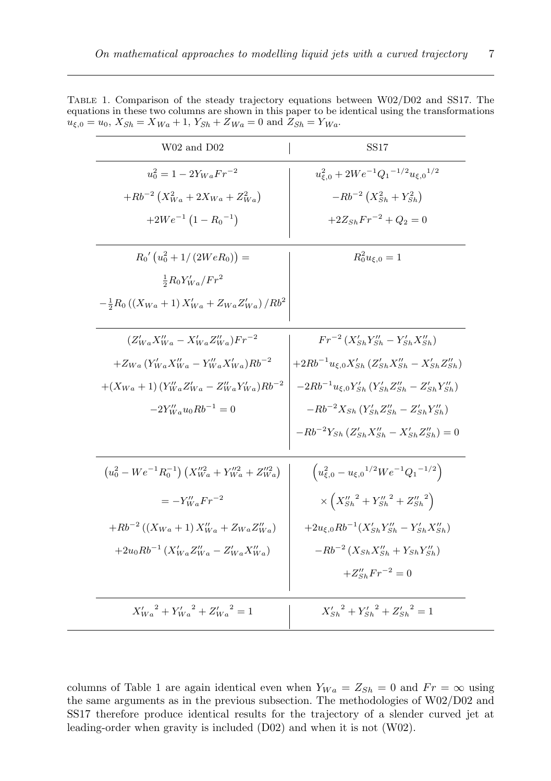| W02 and D02                                                        | SS17                                                               |
|--------------------------------------------------------------------|--------------------------------------------------------------------|
| $u_0^2 = 1 - 2Y_{Wa} Fr^{-2}$                                      | $u_{\xi,0}^2 + 2We^{-1}Q_1^{-1/2}u_{\xi,0}^{-1/2}$                 |
| $+Rb^{-2}\left(X_{Wa}^2+2X_{Wa}+Z_{Wa}^2\right)$                   | $-Rb^{-2}(X_{Sh}^2+Y_{Sh}^2)$                                      |
| $+2We^{-1}(1-R_0^{-1})$                                            | $+2Z_{Sh}Fr^{-2} + Q_2 = 0$                                        |
| $R_0' (u_0^2 + 1/(2WeR_0)) =$                                      | $R_0^2 u_{\xi,0} = 1$                                              |
| $\frac{1}{2}R_0Y'_{Wa}/Fr^2$                                       |                                                                    |
| $-\frac{1}{2}R_0((X_{Wa} + 1)X'_{Wa} + Z_{Wa}Z'_{Wa})/Rb^2$        |                                                                    |
| $(Z'_{Wa}X''_{Wa} - X'_{Wa}Z''_{Wa})Fr^{-2}$                       | $Fr^{-2}(X'_{Sh}Y''_{Sh} - Y'_{Sh}X''_{Sh})$                       |
| $+Z_{Wa} (Y'_{Wa} X''_{Wa} - Y''_{Wa} X'_{Wa}) Rb^{-2}$            | $+2Rb^{-1}u_{\xi,0}X'_{Sh}(Z'_{Sh}X''_{Sh}-X'_{Sh}Z''_{Sh})$       |
| $+(X_{Wa}+1)(Y''_{Wa}Z'_{Wa}-Z''_{Wa}Y'_{Wa})Rb^{-2}$              | $-2Rb^{-1}u_{\xi,0}Y'_{Sh}(Y'_{Sh}Z''_{Sh}-Z'_{Sh}Y''_{Sh})$       |
| $-2Y''_{W}u_0Rb^{-1}=0$                                            | $-Rb^{-2}X_{Sh} (Y'_{Sh}Z''_{Sh} - Z'_{Sh}Y''_{Sh})$               |
|                                                                    | $-Rb^{-2}Y_{Sh} (Z'_{Sh}X''_{Sh} - X'_{Sh}Z''_{Sh}) = 0$           |
| $(u_0^2 - We^{-1}R_0^{-1}) (X_{Wa}''^2 + Y_{Wa}''^2 + Z_{Wa}''^2)$ | $\left(u_{\xi,0}^2 - u_{\xi,0}^{1/2}We^{-1}Q_1^{-1/2}\right)$      |
| $=-Y''_{W}F r^{-2}$                                                | $\times\left(X_{Sh}''^{2}+Y_{Sh}''^{2}+Z_{Sh}''^{2}\right)$        |
| $+Rb^{-2}((X_{Wa}+1)X''_{Wa}+Z_{Wa}Z''_{Wa})$                      | $+2u_{\xi,0}Rb^{-1}(X_{Sh}'Y_{Sh}''-Y_{Sh}'X_{Sh}'')$              |
| $+2u_0Rb^{-1}(X'_{Wa}Z''_{Wa}-Z'_{Wa}X''_{Wa})$                    | $-Rb^{-2}(X_{Sh}X_{Sh}'' + Y_{Sh}Y_{Sh}'')$                        |
|                                                                    | $+Z''_{Sb}Fr^{-2}=0$                                               |
| $X'_{Wa}^2 + Y'_{Wa}^2 + Z'_{Wa}^2 = 1$                            | ${X'_{\text{Sh}}}^2 + {Y'_{\text{Sh}}}^2 + {Z'_{\text{Sh}}}^2 = 1$ |

Table 1. Comparison of the steady trajectory equations between W02/D02 and SS17. The equations in these two columns are shown in this paper to be identical using the transformations  $u_{\xi,0} = u_0$ ,  $X_{Sh} = X_{Wa} + 1$ ,  $Y_{Sh} + Z_{Wa} = 0$  and  $Z_{Sh} = Y_{Wa}$ .

columns of Table 1 are again identical even when  $Y_{Wa} = Z_{Sh} = 0$  and  $Fr = \infty$  using the same arguments as in the previous subsection. The methodologies of W02/D02 and SS17 therefore produce identical results for the trajectory of a slender curved jet at leading-order when gravity is included (D02) and when it is not (W02).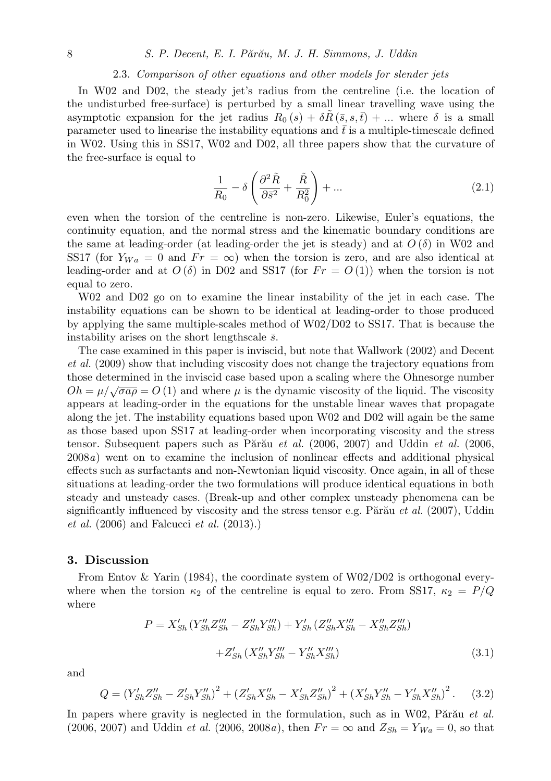## 8 *S. P. Decent, E. I. P˘ar˘au, M. J. H. Simmons, J. Uddin*

#### 2.3. *Comparison of other equations and other models for slender jets*

In W02 and D02, the steady jet's radius from the centreline (i.e. the location of the undisturbed free-surface) is perturbed by a small linear travelling wave using the asymptotic expansion for the jet radius  $R_0(s) + \delta R(\bar{s}, s, t) + \dots$  where  $\delta$  is a small parameter used to linearise the instability equations and  $\bar{t}$  is a multiple-timescale defined in W02. Using this in SS17, W02 and D02, all three papers show that the curvature of the free-surface is equal to

$$
\frac{1}{R_0} - \delta \left( \frac{\partial^2 \tilde{R}}{\partial \tilde{s}^2} + \frac{\tilde{R}}{R_0^2} \right) + \dots \tag{2.1}
$$

even when the torsion of the centreline is non-zero. Likewise, Euler's equations, the continuity equation, and the normal stress and the kinematic boundary conditions are the same at leading-order (at leading-order the jet is steady) and at  $O(\delta)$  in W02 and SS17 (for  $Y_{Wa} = 0$  and  $Fr = \infty$ ) when the torsion is zero, and are also identical at leading-order and at  $O(\delta)$  in D02 and SS17 (for  $Fr = O(1)$ ) when the torsion is not equal to zero.

W02 and D02 go on to examine the linear instability of the jet in each case. The instability equations can be shown to be identical at leading-order to those produced by applying the same multiple-scales method of W02/D02 to SS17. That is because the instability arises on the short lengthscale  $\bar{s}$ .

The case examined in this paper is inviscid, but note that Wallwork (2002) and Decent *et al.* (2009) show that including viscosity does not change the trajectory equations from those determined in the inviscid case based upon a scaling where the Ohnesorge number  $Oh = \mu/\sqrt{\sigma a \rho} = O(1)$  and where  $\mu$  is the dynamic viscosity of the liquid. The viscosity appears at leading-order in the equations for the unstable linear waves that propagate along the jet. The instability equations based upon W02 and D02 will again be the same as those based upon SS17 at leading-order when incorporating viscosity and the stress tensor. Subsequent papers such as Părău *et al.* (2006, 2007) and Uddin *et al.* (2006, 2008*a*) went on to examine the inclusion of nonlinear effects and additional physical effects such as surfactants and non-Newtonian liquid viscosity. Once again, in all of these situations at leading-order the two formulations will produce identical equations in both steady and unsteady cases. (Break-up and other complex unsteady phenomena can be significantly influenced by viscosity and the stress tensor e.g. Părău *et al.* (2007), Uddin *et al.* (2006) and Falcucci *et al.* (2013).)

# **3. Discussion**

From Entov & Yarin (1984), the coordinate system of W02/D02 is orthogonal everywhere when the torsion  $\kappa_2$  of the centreline is equal to zero. From SS17,  $\kappa_2 = P/Q$ where

$$
P = X'_{Sh} (Y''_{Sh} Z''_{Sh} - Z''_{Sh} Y''_{Sh}) + Y'_{Sh} (Z''_{Sh} X'''_{Sh} - X''_{Sh} Z'''_{Sh})
$$

$$
+ Z'_{Sh} (X''_{Sh} Y'''_{Sh} - Y''_{Sh} X'''_{Sh})
$$
(3.1)

and

$$
Q = \left(Y_{Sh}'Z_{Sh}'' - Z_{Sh}'Y_{Sh}''\right)^2 + \left(Z_{Sh}'X_{Sh}'' - X_{Sh}'Z_{Sh}''\right)^2 + \left(X_{Sh}'Y_{Sh}'' - Y_{Sh}'X_{Sh}''\right)^2. \tag{3.2}
$$

In papers where gravity is neglected in the formulation, such as in W02, Parau *et al.* (2006, 2007) and Uddin *et al.* (2006, 2008*a*), then  $Fr = \infty$  and  $Z_{Sh} = Y_{Wa} = 0$ , so that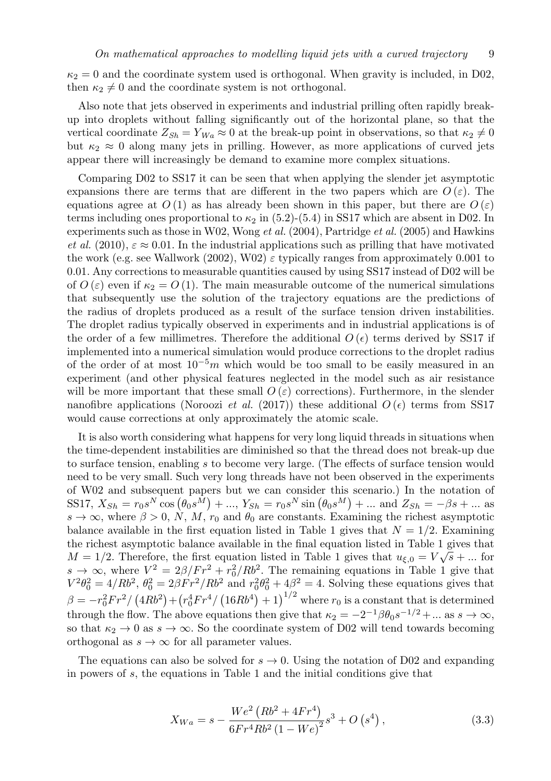$\kappa_2 = 0$  and the coordinate system used is orthogonal. When gravity is included, in D02, then  $\kappa_2 \neq 0$  and the coordinate system is not orthogonal.

Also note that jets observed in experiments and industrial prilling often rapidly breakup into droplets without falling significantly out of the horizontal plane, so that the vertical coordinate  $Z_{Sh} = Y_{Wa} \approx 0$  at the break-up point in observations, so that  $\kappa_2 \neq 0$ but  $\kappa_2 \approx 0$  along many jets in prilling. However, as more applications of curved jets appear there will increasingly be demand to examine more complex situations.

Comparing D02 to SS17 it can be seen that when applying the slender jet asymptotic expansions there are terms that are different in the two papers which are  $O(\varepsilon)$ . The equations agree at  $O(1)$  as has already been shown in this paper, but there are  $O(\varepsilon)$ terms including ones proportional to  $\kappa_2$  in (5.2)-(5.4) in SS17 which are absent in D02. In experiments such as those in W02, Wong *et al.* (2004), Partridge *et al.* (2005) and Hawkins *et al.* (2010),  $\varepsilon \approx 0.01$ . In the industrial applications such as prilling that have motivated the work (e.g. see Wallwork (2002), W02)  $\varepsilon$  typically ranges from approximately 0.001 to 0*.*01. Any corrections to measurable quantities caused by using SS17 instead of D02 will be of  $O(\varepsilon)$  even if  $\kappa_2 = O(1)$ . The main measurable outcome of the numerical simulations that subsequently use the solution of the trajectory equations are the predictions of the radius of droplets produced as a result of the surface tension driven instabilities. The droplet radius typically observed in experiments and in industrial applications is of the order of a few millimetres. Therefore the additional  $O(\epsilon)$  terms derived by SS17 if implemented into a numerical simulation would produce corrections to the droplet radius of the order of at most 10*−*<sup>5</sup>*m* which would be too small to be easily measured in an experiment (and other physical features neglected in the model such as air resistance will be more important that these small  $O(\varepsilon)$  corrections). Furthermore, in the slender nanofibre applications (Noroozi *et al.* (2017)) these additional  $O(\epsilon)$  terms from SS17 would cause corrections at only approximately the atomic scale.

It is also worth considering what happens for very long liquid threads in situations when the time-dependent instabilities are diminished so that the thread does not break-up due to surface tension, enabling *s* to become very large. (The effects of surface tension would need to be very small. Such very long threads have not been observed in the experiments of W02 and subsequent papers but we can consider this scenario.) In the notation of SS17,  $X_{Sh} = r_0 s^N \cos (\theta_0 s^M) + ..., Y_{Sh} = r_0 s^N \sin (\theta_0 s^M) + ...$  and  $Z_{Sh} = -\beta s + ...$  as  $s \to \infty$ , where  $\beta > 0$ , N, M,  $r_0$  and  $\theta_0$  are constants. Examining the richest asymptotic balance available in the first equation listed in Table 1 gives that  $N = 1/2$ . Examining the richest asymptotic balance available in the final equation listed in Table 1 gives that  $M = 1/2$ . Therefore, the first equation listed in Table 1 gives that  $u_{\xi,0} = V\sqrt{s} + ...$  for  $s \to \infty$ , where  $V^2 = 2\beta/Fr^2 + r_0^2/Rb^2$ . The remaining equations in Table 1 give that  $V^2 \theta_0^2 = 4/Rb^2$ ,  $\theta_0^2 = 2\beta Fr^2/Rb^2$  and  $r_0^2 \theta_0^2 + 4\beta^2 = 4$ . Solving these equations gives that  $\beta = -r_0^2 Fr^2 / (4Rb^2) + (r_0^4 Fr^4 / (16Rb^4) + 1)^{1/2}$  where  $r_0$  is a constant that is determined through the flow. The above equations then give that  $\kappa_2 = -2^{-1}\beta\theta_0s^{-1/2} + \dots$  as  $s \to \infty$ , so that  $\kappa_2 \to 0$  as  $s \to \infty$ . So the coordinate system of D02 will tend towards becoming orthogonal as  $s \to \infty$  for all parameter values.

The equations can also be solved for  $s \to 0$ . Using the notation of D02 and expanding in powers of *s*, the equations in Table 1 and the initial conditions give that

$$
X_{Wa} = s - \frac{We^2 \left( R b^2 + 4F r^4 \right)}{6F r^4 R b^2 \left( 1 - We \right)^2} s^3 + O\left(s^4\right),\tag{3.3}
$$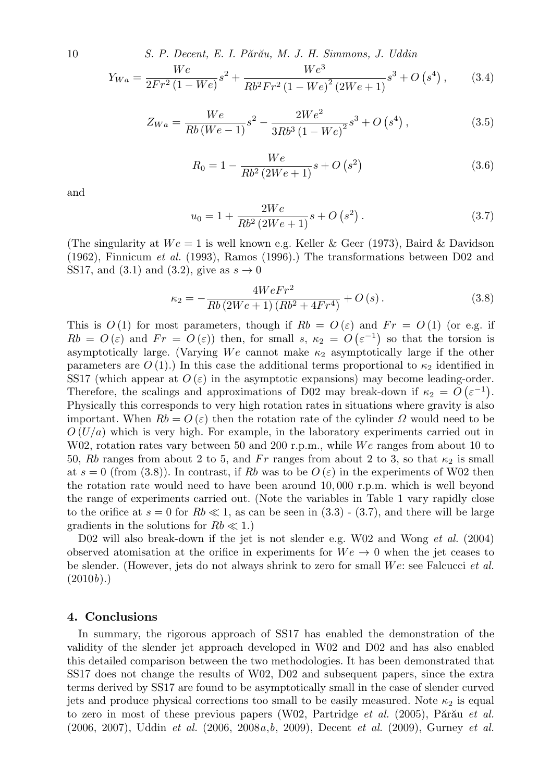10 *S. P. Decent, E. I. P˘ar˘au, M. J. H. Simmons, J. Uddin*

$$
Y_{Wa} = \frac{We}{2Fr^2 (1 - We)} s^2 + \frac{We^3}{Rb^2 Fr^2 (1 - We)^2 (2We + 1)} s^3 + O(s^4), \qquad (3.4)
$$

$$
Z_{Wa} = \frac{We}{Rb(We-1)}s^2 - \frac{2We^2}{3Rb^3(1-We)^2}s^3 + O(s^4),
$$
\n(3.5)

$$
R_0 = 1 - \frac{We}{Rb^2 (2We + 1)}s + O(s^2)
$$
\n(3.6)

and

$$
u_0 = 1 + \frac{2We}{Rb^2(2We + 1)}s + O(s^2).
$$
 (3.7)

(The singularity at  $We = 1$  is well known e.g. Keller & Geer (1973), Baird & Davidson (1962), Finnicum *et al.* (1993), Ramos (1996).) The transformations between D02 and SS17, and (3.1) and (3.2), give as  $s \to 0$ 

$$
\kappa_2 = -\frac{4WeFr^2}{Rb(2We+1)(Rb^2+4Fr^4)} + O(s). \tag{3.8}
$$

This is  $O(1)$  for most parameters, though if  $Rb = O(\varepsilon)$  and  $Fr = O(1)$  (or e.g. if  $Rb = O(\varepsilon)$  and  $Fr = O(\varepsilon)$  then, for small *s*,  $\kappa_2 = O(\varepsilon^{-1})$  so that the torsion is asymptotically large. (Varying *W e* cannot make *κ*<sup>2</sup> asymptotically large if the other parameters are  $O(1)$ .) In this case the additional terms proportional to  $\kappa_2$  identified in SS17 (which appear at  $O(\varepsilon)$  in the asymptotic expansions) may become leading-order. Therefore, the scalings and approximations of D02 may break-down if  $\kappa_2 = O(\varepsilon^{-1})$ . Physically this corresponds to very high rotation rates in situations where gravity is also important. When  $Rb = O(\varepsilon)$  then the rotation rate of the cylinder  $\Omega$  would need to be *O* (*U/a*) which is very high. For example, in the laboratory experiments carried out in W02, rotation rates vary between 50 and 200 r.p.m., while *We* ranges from about 10 to 50, *Rb* ranges from about 2 to 5, and *Fr* ranges from about 2 to 3, so that  $\kappa_2$  is small at  $s = 0$  (from (3.8)). In contrast, if Rb was to be  $O(\varepsilon)$  in the experiments of W02 then the rotation rate would need to have been around 10*,* 000 r.p.m. which is well beyond the range of experiments carried out. (Note the variables in Table 1 vary rapidly close to the orifice at  $s = 0$  for  $Rb \ll 1$ , as can be seen in  $(3.3)$  -  $(3.7)$ , and there will be large gradients in the solutions for  $Rb \ll 1$ .)

D02 will also break-down if the jet is not slender e.g. W02 and Wong *et al.* (2004) observed atomisation at the orifice in experiments for  $We \to 0$  when the jet ceases to be slender. (However, jets do not always shrink to zero for small *W e*: see Falcucci *et al.*  $(2010b)$ .)

# **4. Conclusions**

In summary, the rigorous approach of SS17 has enabled the demonstration of the validity of the slender jet approach developed in W02 and D02 and has also enabled this detailed comparison between the two methodologies. It has been demonstrated that SS17 does not change the results of W02, D02 and subsequent papers, since the extra terms derived by SS17 are found to be asymptotically small in the case of slender curved jets and produce physical corrections too small to be easily measured. Note  $\kappa_2$  is equal to zero in most of these previous papers (W02, Partridge *et al.* (2005), Părău *et al.* (2006, 2007), Uddin *et al.* (2006, 2008*a*,*b*, 2009), Decent *et al.* (2009), Gurney *et al.*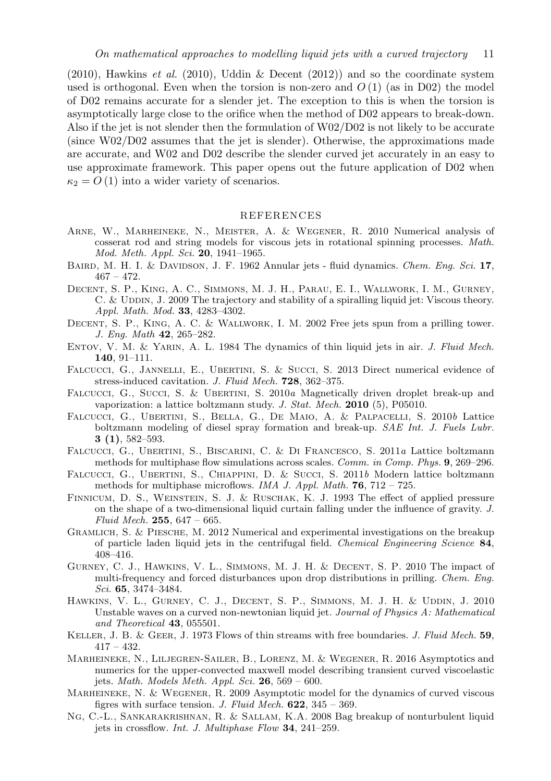(2010), Hawkins *et al.* (2010), Uddin & Decent (2012)) and so the coordinate system used is orthogonal. Even when the torsion is non-zero and  $O(1)$  (as in D02) the model of D02 remains accurate for a slender jet. The exception to this is when the torsion is asymptotically large close to the orifice when the method of D02 appears to break-down. Also if the jet is not slender then the formulation of W02/D02 is not likely to be accurate (since W02/D02 assumes that the jet is slender). Otherwise, the approximations made are accurate, and W02 and D02 describe the slender curved jet accurately in an easy to use approximate framework. This paper opens out the future application of D02 when  $\kappa_2 = O(1)$  into a wider variety of scenarios.

# REFERENCES

- Arne, W., Marheineke, N., Meister, A. & Wegener, R. 2010 Numerical analysis of cosserat rod and string models for viscous jets in rotational spinning processes. *Math. Mod. Meth. Appl. Sci.* **20**, 1941–1965.
- Baird, M. H. I. & Davidson, J. F. 1962 Annular jets fluid dynamics. *Chem. Eng. Sci.* **17**,  $467 - 472.$
- Decent, S. P., King, A. C., Simmons, M. J. H., Parau, E. I., Wallwork, I. M., Gurney, C. & UDDIN, J. 2009 The trajectory and stability of a spiralling liquid jet: Viscous theory. *Appl. Math. Mod.* **33**, 4283–4302.
- Decent, S. P., King, A. C. & Wallwork, I. M. 2002 Free jets spun from a prilling tower. *J. Eng. Math* **42**, 265–282.
- Entov, V. M. & Yarin, A. L. 1984 The dynamics of thin liquid jets in air. *J. Fluid Mech.* **140**, 91–111.
- FALCUCCI, G., JANNELLI, E., UBERTINI, S. & SUCCI, S. 2013 Direct numerical evidence of stress-induced cavitation. *J. Fluid Mech.* **728**, 362–375.
- FALCUCCI, G., SUCCI, S. & UBERTINI, S. 2010*a* Magnetically driven droplet break-up and vaporization: a lattice boltzmann study. *J. Stat. Mech.* **2010** (5), P05010.
- Falcucci, G., Ubertini, S., Bella, G., De Maio, A. & Palpacelli, S. 2010*b* Lattice boltzmann modeling of diesel spray formation and break-up. *SAE Int. J. Fuels Lubr.* **3 (1)**, 582–593.
- Falcucci, G., Ubertini, S., Biscarini, C. & Di Francesco, S. 2011*a* Lattice boltzmann methods for multiphase flow simulations across scales. *Comm. in Comp. Phys.* **9**, 269–296.
- FALCUCCI, G., UBERTINI, S., CHIAPPINI, D. & Succi, S. 2011*b* Modern lattice boltzmann methods for multiphase microflows. *IMA J. Appl. Math.* **76**, 712 – 725.
- Finnicum, D. S., Weinstein, S. J. & Ruschak, K. J. 1993 The effect of applied pressure on the shape of a two-dimensional liquid curtain falling under the influence of gravity. *J. Fluid Mech.* **255**, 647 – 665.
- Gramlich, S. & Piesche, M. 2012 Numerical and experimental investigations on the breakup of particle laden liquid jets in the centrifugal field. *Chemical Engineering Science* **84**, 408–416.
- Gurney, C. J., Hawkins, V. L., Simmons, M. J. H. & Decent, S. P. 2010 The impact of multi-frequency and forced disturbances upon drop distributions in prilling. *Chem. Eng. Sci.* **65**, 3474–3484.
- HAWKINS, V. L., GURNEY, C. J., DECENT, S. P., SIMMONS, M. J. H. & UDDIN, J. 2010 Unstable waves on a curved non-newtonian liquid jet. *Journal of Physics A: Mathematical and Theoretical* **43**, 055501.
- Keller, J. B. & Geer, J. 1973 Flows of thin streams with free boundaries. *J. Fluid Mech.* **59**,  $417 - 432.$
- Marheineke, N., Liljegren-Sailer, B., Lorenz, M. & Wegener, R. 2016 Asymptotics and numerics for the upper-convected maxwell model describing transient curved viscoelastic jets. *Math. Models Meth. Appl. Sci.* **26**, 569 – 600.
- Marheineke, N. & Wegener, R. 2009 Asymptotic model for the dynamics of curved viscous figres with surface tension. *J. Fluid Mech.* **622**, 345 – 369.
- Ng, C.-L., Sankarakrishnan, R. & Sallam, K.A. 2008 Bag breakup of nonturbulent liquid jets in crossflow. *Int. J. Multiphase Flow* **34**, 241–259.